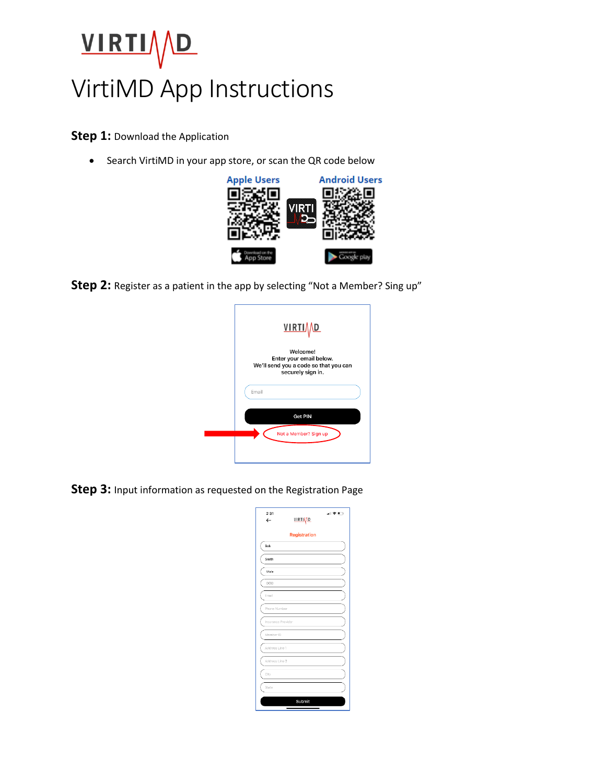## VIRTIVD

## VirtiMD App Instructions

**Step 1: Download the Application** 

• Search VirtiMD in your app store, or scan the QR code below



**Step 2:** Register as a patient in the app by selecting "Not a Member? Sing up"



**Step 3:** Input information as requested on the Registration Page

| 2:31<br>$\leftarrow$ | <b>VIRTIAD</b> | 司令に |
|----------------------|----------------|-----|
|                      | Registration   |     |
| Bob                  |                |     |
| Smith                |                |     |
| Male                 |                |     |
| DOB                  |                |     |
| Email                |                |     |
| Phone Number         |                |     |
| Insurance Provider   |                |     |
| Member ID            |                |     |
| Address Line 1       |                |     |
| Address Line 2       |                |     |
| City                 |                |     |
| State                |                |     |
|                      | Submit         |     |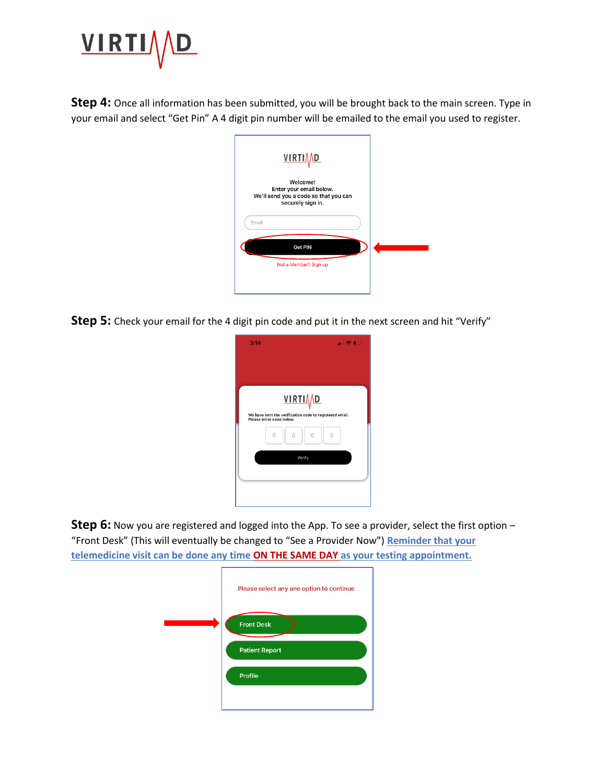

**Step 4:** Once all information has been submitted, you will be brought back to the main screen. Type in your email and select "Get Pin" A 4 digit pin number will be emailed to the email you used to register.



**Step 5:** Check your email for the 4 digit pin code and put it in the next screen and hit "Verify"

| 3:14                                                                                | $-11$             |
|-------------------------------------------------------------------------------------|-------------------|
|                                                                                     |                   |
|                                                                                     |                   |
|                                                                                     | <b>VIRTIAD</b>    |
| We have sent the verification code to registered email.<br>Please enter code below. |                   |
| $\cap$                                                                              | $\cap$<br>$\circ$ |
|                                                                                     | Verify            |
|                                                                                     |                   |
|                                                                                     |                   |
|                                                                                     |                   |

**Step 6:** Now you are registered and logged into the App. To see a provider, select the first option – "Front Desk" (This will eventually be changed to "See a Provider Now") **Reminder that your telemedicine visit can be done any time ON THE SAME DAY as your testing appointment.** 

| Please select any one option to continue |
|------------------------------------------|
| <b>Front Desk</b>                        |
| <b>Patient Report</b>                    |
| Profile                                  |
|                                          |